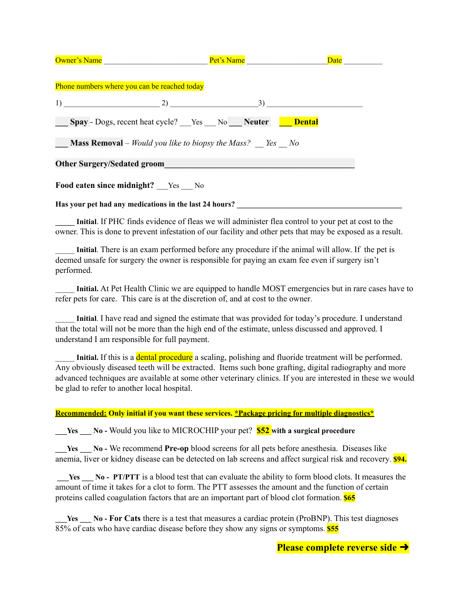| <b>Owner's Name</b>                                                    | Pet's Name                                                         | Date |  |  |
|------------------------------------------------------------------------|--------------------------------------------------------------------|------|--|--|
|                                                                        |                                                                    |      |  |  |
| Phone numbers where you can be reached today                           |                                                                    |      |  |  |
| $1)$ 2)                                                                | 3)                                                                 |      |  |  |
|                                                                        | <b>Spay</b> - Dogs, recent heat cycle? Yes No Neuter <b>Dental</b> |      |  |  |
| <b>Mass Removal</b> – Would you like to biopsy the Mass? <i>Yes</i> No |                                                                    |      |  |  |
| <b>Other Surgery/Sedated groom</b>                                     |                                                                    |      |  |  |
| Food eaten since midnight? Yes No                                      |                                                                    |      |  |  |
| Has your pet had any medications in the last 24 hours?                 |                                                                    |      |  |  |

**\_\_\_\_\_ Initial**. If PHC finds evidence of fleas we will administer flea control to your pet at cost to the owner. This is done to prevent infestation of our facility and other pets that may be exposed as a result.

\_\_\_\_\_ **Initial**. There is an exam performed before any procedure if the animal will allow. If the pet is deemed unsafe for surgery the owner is responsible for paying an exam fee even if surgery isn't performed.

\_\_\_\_\_ **Initial.** At Pet Health Clinic we are equipped to handle MOST emergencies but in rare cases have to refer pets for care. This care is at the discretion of, and at cost to the owner.

\_\_\_\_\_ **Initial**. I have read and signed the estimate that was provided for today's procedure. I understand that the total will not be more than the high end of the estimate, unless discussed and approved. I understand I am responsible for full payment.

**Initial.** If this is a dental procedure a scaling, polishing and fluoride treatment will be performed. Any obviously diseased teeth will be extracted. Items such bone grafting, digital radiography and more advanced techniques are available at some other veterinary clinics. If you are interested in these we would be glad to refer to another local hospital.

## **Recommended: Only initial if you want these services. \*Package pricing for multiple diagnostics\***

**\_\_\_Yes \_\_\_ No -** Would you like to MICROCHIP your pet? **\$52 with a surgical procedure**

**\_\_\_Yes \_\_\_ No -** We recommend **Pre-op** blood screens for all pets before anesthesia. Diseases like anemia, liver or kidney disease can be detected on lab screens and affect surgical risk and recovery. **\$94.**

**\_\_\_Yes \_\_\_ No - PT/PTT** is a blood test that can evaluate the ability to form blood clots. It measures the amount of time it takes for a clot to form. The PTT assesses the amount and the function of certain proteins called [coagulation](https://labtestsonline.org/understanding/analytes/coagulation-factors/tab/sample) factors that are an important part of blood clot formation. **\$65**

**\_\_\_Yes \_\_\_ No - For Cats** there is a test that measures a cardiac protein (ProBNP). This test diagnoses 85% of cats who have cardiac disease before they show any signs or symptoms. **\$55**

**Please complete reverse side** ➜